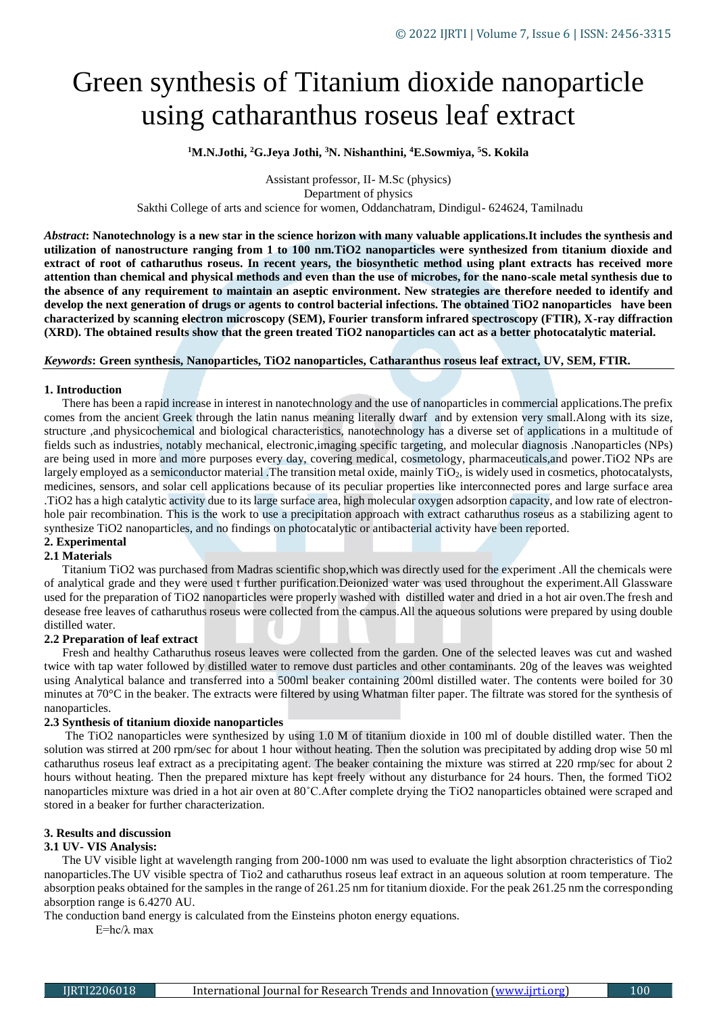# Green synthesis of Titanium dioxide nanoparticle using catharanthus roseus leaf extract

## **<sup>1</sup>M.N.Jothi, <sup>2</sup>G.Jeya Jothi, <sup>3</sup>N. Nishanthini, <sup>4</sup>E.Sowmiya, <sup>5</sup>S. Kokila**

Assistant professor, II- M.Sc (physics) Department of physics Sakthi College of arts and science for women, Oddanchatram, Dindigul- 624624, Tamilnadu

*Abstract***: Nanotechnology is a new star in the science horizon with many valuable applications.It includes the synthesis and utilization of nanostructure ranging from 1 to 100 nm.TiO2 nanoparticles were synthesized from titanium dioxide and extract of root of catharuthus roseus. In recent years, the biosynthetic method using plant extracts has received more attention than chemical and physical methods and even than the use of microbes, for the nano-scale metal synthesis due to the absence of any requirement to maintain an aseptic environment. New strategies are therefore needed to identify and develop the next generation of drugs or agents to control bacterial infections. The obtained TiO2 nanoparticles have been characterized by scanning electron microscopy (SEM), Fourier transform infrared spectroscopy (FTIR), X-ray diffraction (XRD). The obtained results show that the green treated TiO2 nanoparticles can act as a better photocatalytic material.**

#### *Keywords***: Green synthesis, Nanoparticles, TiO2 nanoparticles, Catharanthus roseus leaf extract, UV, SEM, FTIR.**

#### **1. Introduction**

 There has been a rapid increase in interest in nanotechnology and the use of nanoparticles in commercial applications.The prefix comes from the ancient Greek through the latin nanus meaning literally dwarf and by extension very small.Along with its size, structure ,and physicochemical and biological characteristics, nanotechnology has a diverse set of applications in a multitude of fields such as industries, notably mechanical, electronic,imaging specific targeting, and molecular diagnosis .Nanoparticles (NPs) are being used in more and more purposes every day, covering medical, cosmetology, pharmaceuticals,and power.TiO2 NPs are largely employed as a semiconductor material. The transition metal oxide, mainly  $TiO<sub>2</sub>$ , is widely used in cosmetics, photocatalysts, medicines, sensors, and solar cell applications because of its peculiar properties like interconnected pores and large surface area .TiO2 has a high catalytic activity due to its large surface area, high molecular oxygen adsorption capacity, and low rate of electronhole pair recombination. This is the work to use a precipitation approach with extract catharuthus roseus as a stabilizing agent to synthesize TiO2 nanoparticles, and no findings on photocatalytic or antibacterial activity have been reported.

## **2. Experimental**

#### **2.1 Materials**

 Titanium TiO2 was purchased from Madras scientific shop,which was directly used for the experiment .All the chemicals were of analytical grade and they were used t further purification.Deionized water was used throughout the experiment.All Glassware used for the preparation of TiO2 nanoparticles were properly washed with distilled water and dried in a hot air oven.The fresh and desease free leaves of catharuthus roseus were collected from the campus.All the aqueous solutions were prepared by using double distilled water.

#### **2.2 Preparation of leaf extract**

 Fresh and healthy Catharuthus roseus leaves were collected from the garden. One of the selected leaves was cut and washed twice with tap water followed by distilled water to remove dust particles and other contaminants. 20g of the leaves was weighted using Analytical balance and transferred into a 500ml beaker containing 200ml distilled water. The contents were boiled for 30 minutes at 70°C in the beaker. The extracts were filtered by using Whatman filter paper. The filtrate was stored for the synthesis of nanoparticles.

#### **2.3 Synthesis of titanium dioxide nanoparticles**

 The TiO2 nanoparticles were synthesized by using 1.0 M of titanium dioxide in 100 ml of double distilled water. Then the solution was stirred at 200 rpm/sec for about 1 hour without heating. Then the solution was precipitated by adding drop wise 50 ml catharuthus roseus leaf extract as a precipitating agent. The beaker containing the mixture was stirred at 220 rmp/sec for about 2 hours without heating. Then the prepared mixture has kept freely without any disturbance for 24 hours. Then, the formed TiO2 nanoparticles mixture was dried in a hot air oven at 80˚C.After complete drying the TiO2 nanoparticles obtained were scraped and stored in a beaker for further characterization.

## **3. Results and discussion**

## **3.1 UV- VIS Analysis:**

 The UV visible light at wavelength ranging from 200-1000 nm was used to evaluate the light absorption chracteristics of Tio2 nanoparticles.The UV visible spectra of Tio2 and catharuthus roseus leaf extract in an aqueous solution at room temperature. The absorption peaks obtained for the samples in the range of 261.25 nm for titanium dioxide. For the peak 261.25 nm the corresponding absorption range is 6.4270 AU.

The conduction band energy is calculated from the Einsteins photon energy equations.

E=hc/λ max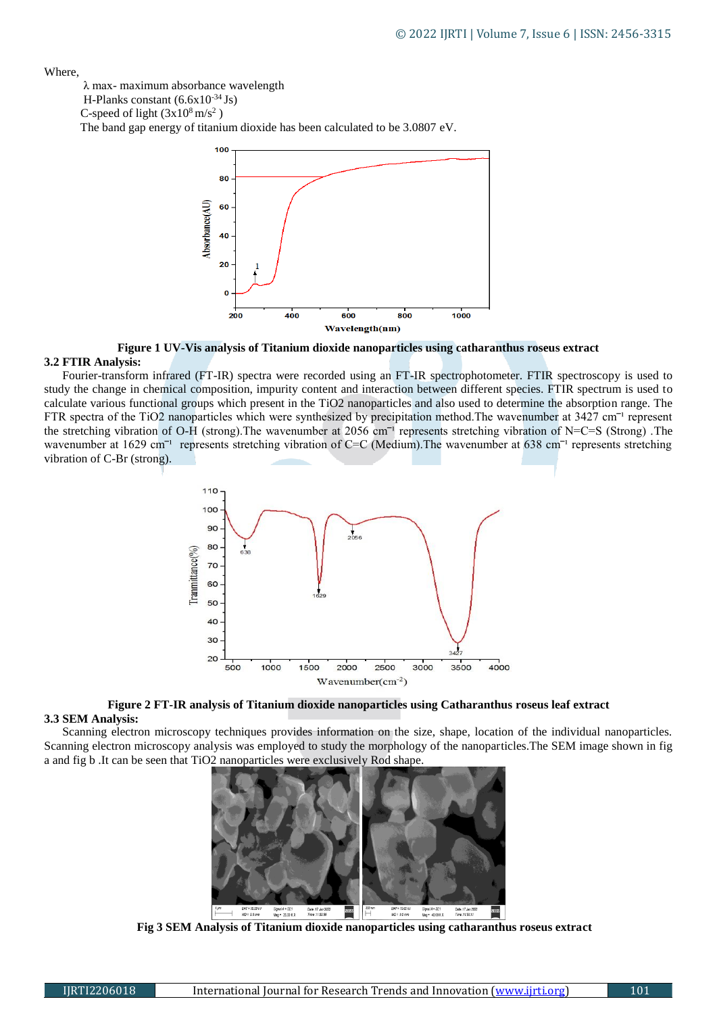Where,

λ max- maximum absorbance wavelength

H-Planks constant (6.6x10-34 Js)

C-speed of light  $(3x10^8 \text{ m/s}^2)$ 

The band gap energy of titanium dioxide has been calculated to be 3.0807 eV.



**Figure 1 UV-Vis analysis of Titanium dioxide nanoparticles using catharanthus roseus extract**

## **3.2 FTIR Analysis:**

 Fourier-transform infrared (FT-IR) spectra were recorded using an FT-IR spectrophotometer. FTIR spectroscopy is used to study the change in chemical composition, impurity content and interaction between different species. FTIR spectrum is used to calculate various functional groups which present in the TiO2 nanoparticles and also used to determine the absorption range. The FTR spectra of the TiO2 nanoparticles which were synthesized by precipitation method. The wavenumber at  $3427 \text{ cm}^{-1}$  represent the stretching vibration of O-H (strong). The wavenumber at 2056 cm<sup>-1</sup> represents stretching vibration of N=C=S (Strong). The wavenumber at 1629 cm<sup>-1</sup> represents stretching vibration of C=C (Medium). The wavenumber at 638 cm<sup>-1</sup> represents stretching vibration of C-Br (strong).





## **3.3 SEM Analysis:**

 Scanning electron microscopy techniques provides information on the size, shape, location of the individual nanoparticles. Scanning electron microscopy analysis was employed to study the morphology of the nanoparticles.The SEM image shown in fig a and fig b .It can be seen that TiO2 nanoparticles were exclusively Rod shape.



 **Fig 3 SEM Analysis of Titanium dioxide nanoparticles using catharanthus roseus extract**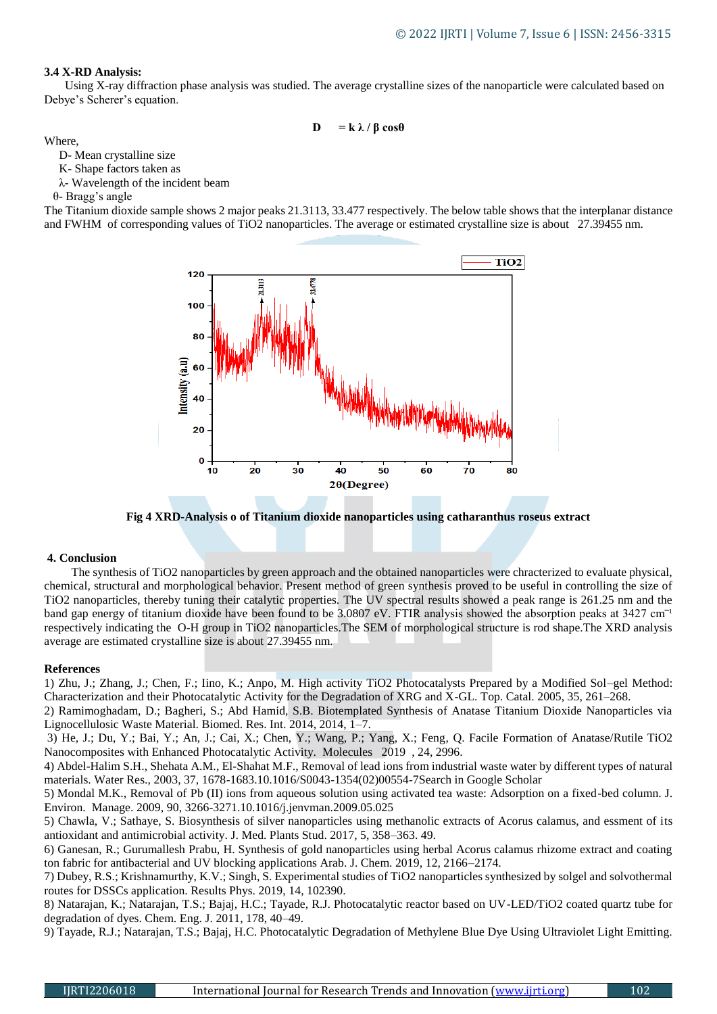## **3.4 X-RD Analysis:**

Using X-ray diffraction phase analysis was studied. The average crystalline sizes of the nanoparticle were calculated based on Debye's Scherer's equation.

$$
\mathbf{D} = \mathbf{k} \lambda / \beta \cos \theta
$$

Where,

D- Mean crystalline size

K- Shape factors taken as

λ- Wavelength of the incident beam

θ- Bragg's angle

The Titanium dioxide sample shows 2 major peaks 21.3113, 33.477 respectively. The below table shows that the interplanar distance and FWHM of corresponding values of TiO2 nanoparticles. The average or estimated crystalline size is about 27.39455 nm.



**Fig 4 XRD-Analysis o of Titanium dioxide nanoparticles using catharanthus roseus extract**

#### **4. Conclusion**

The synthesis of TiO2 nanoparticles by green approach and the obtained nanoparticles were chracterized to evaluate physical, chemical, structural and morphological behavior. Present method of green synthesis proved to be useful in controlling the size of TiO2 nanoparticles, thereby tuning their catalytic properties. The UV spectral results showed a peak range is 261.25 nm and the band gap energy of titanium dioxide have been found to be 3.0807 eV. FTIR analysis showed the absorption peaks at 3427 cm<sup>-1</sup> respectively indicating the O-H group in TiO2 nanoparticles.The SEM of morphological structure is rod shape.The XRD analysis average are estimated crystalline size is about 27.39455 nm.

#### **References**

1) Zhu, J.; Zhang, J.; Chen, F.; Iino, K.; Anpo, M. High activity TiO2 Photocatalysts Prepared by a Modified Sol–gel Method: Characterization and their Photocatalytic Activity for the Degradation of XRG and X-GL. Top. Catal. 2005, 35, 261–268.

2) Ramimoghadam, D.; Bagheri, S.; Abd Hamid, S.B. Biotemplated Synthesis of Anatase Titanium Dioxide Nanoparticles via Lignocellulosic Waste Material. Biomed. Res. Int. 2014, 2014, 1–7.

3) He, J.; Du, Y.; Bai, Y.; An, J.; Cai, X.; Chen, Y.; Wang, P.; Yang, X.; Feng, Q. Facile Formation of Anatase/Rutile TiO2 Nanocomposites with Enhanced Photocatalytic Activity. Molecules 2019 , 24, 2996.

4) Abdel-Halim S.H., Shehata A.M., El-Shahat M.F., Removal of lead ions from industrial waste water by different types of natural materials. Water Res., 2003, 37, 1678-1683.10.1016/S0043-1354(02)00554-7Search in Google Scholar

5) Mondal M.K., Removal of Pb (II) ions from aqueous solution using activated tea waste: Adsorption on a fixed-bed column. J. Environ. Manage. 2009, 90, 3266-3271.10.1016/j.jenvman.2009.05.025

5) Chawla, V.; Sathaye, S. Biosynthesis of silver nanoparticles using methanolic extracts of Acorus calamus, and essment of its antioxidant and antimicrobial activity. J. Med. Plants Stud. 2017, 5, 358–363. 49.

6) Ganesan, R.; Gurumallesh Prabu, H. Synthesis of gold nanoparticles using herbal Acorus calamus rhizome extract and coating ton fabric for antibacterial and UV blocking applications Arab. J. Chem. 2019, 12, 2166–2174.

7) Dubey, R.S.; Krishnamurthy, K.V.; Singh, S. Experimental studies of TiO2 nanoparticles synthesized by solgel and solvothermal routes for DSSCs application. Results Phys. 2019, 14, 102390.

8) Natarajan, K.; Natarajan, T.S.; Bajaj, H.C.; Tayade, R.J. Photocatalytic reactor based on UV-LED/TiO2 coated quartz tube for degradation of dyes. Chem. Eng. J. 2011, 178, 40–49.

9) Tayade, R.J.; Natarajan, T.S.; Bajaj, H.C. Photocatalytic Degradation of Methylene Blue Dye Using Ultraviolet Light Emitting.